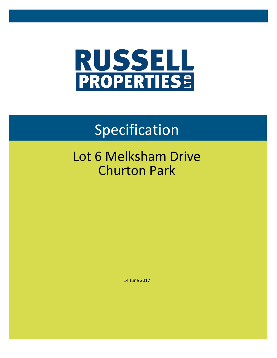

# Specification

## Lot 6 Melksham Drive Churton Park

14 June 2017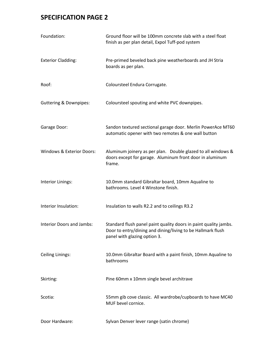| Foundation:                       | Ground floor will be 100mm concrete slab with a steel float<br>finish as per plan detail, Expol Tuff-pod system                                                 |  |  |
|-----------------------------------|-----------------------------------------------------------------------------------------------------------------------------------------------------------------|--|--|
| <b>Exterior Cladding:</b>         | Pre-primed beveled back pine weatherboards and JH Stria<br>boards as per plan.                                                                                  |  |  |
| Roof:                             | Coloursteel Endura Corrugate.                                                                                                                                   |  |  |
| <b>Guttering &amp; Downpipes:</b> | Coloursteel spouting and white PVC downpipes.                                                                                                                   |  |  |
| Garage Door:                      | Sandon textured sectional garage door. Merlin PowerAce MT60<br>automatic opener with two remotes & one wall button                                              |  |  |
| Windows & Exterior Doors:         | Aluminum joinery as per plan. Double glazed to all windows &<br>doors except for garage. Aluminum front door in aluminum<br>frame.                              |  |  |
| Interior Linings:                 | 10.0mm standard Gibraltar board, 10mm Aqualine to<br>bathrooms. Level 4 Winstone finish.                                                                        |  |  |
| Interior Insulation:              | Insulation to walls R2.2 and to ceilings R3.2                                                                                                                   |  |  |
| Interior Doors and Jambs:         | Standard flush panel paint quality doors in paint quality jambs.<br>Door to entry/dining and dining/living to be Hallmark flush<br>panel with glazing option 3. |  |  |
| Ceiling Linings:                  | 10.0mm Gibraltar Board with a paint finish, 10mm Aqualine to<br>bathrooms                                                                                       |  |  |
| Skirting:                         | Pine 60mm x 10mm single bevel architrave                                                                                                                        |  |  |
| Scotia:                           | 55mm gib cove classic. All wardrobe/cupboards to have MC40<br>MUF bevel cornice.                                                                                |  |  |
| Door Hardware:                    | Sylvan Denver lever range (satin chrome)                                                                                                                        |  |  |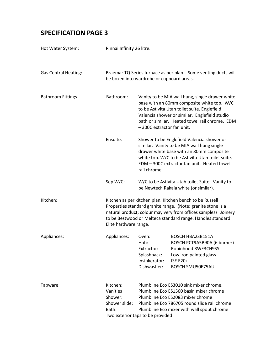| Hot Water System:           | Rinnai Infinity 26 litre.                                                                                                                                                                                                                                                         |                                                                                                                                                                                                                                                                               |                                                                                                                                                                                                                                         |
|-----------------------------|-----------------------------------------------------------------------------------------------------------------------------------------------------------------------------------------------------------------------------------------------------------------------------------|-------------------------------------------------------------------------------------------------------------------------------------------------------------------------------------------------------------------------------------------------------------------------------|-----------------------------------------------------------------------------------------------------------------------------------------------------------------------------------------------------------------------------------------|
| <b>Gas Central Heating:</b> | Braemar TQ Series furnace as per plan. Some venting ducts will<br>be boxed into wardrobe or cupboard areas.                                                                                                                                                                       |                                                                                                                                                                                                                                                                               |                                                                                                                                                                                                                                         |
| <b>Bathroom Fittings</b>    | Bathroom:                                                                                                                                                                                                                                                                         | Vanity to be MIA wall hung, single drawer white<br>base with an 80mm composite white top. W/C<br>to be Astivita Utah toilet suite. Englefield<br>Valencia shower or similar. Englefield studio<br>bath or similar. Heated towel rail chrome. EDM<br>-300C extractor fan unit. |                                                                                                                                                                                                                                         |
|                             | Ensuite:                                                                                                                                                                                                                                                                          | rail chrome.                                                                                                                                                                                                                                                                  | Shower to be Englefield Valencia shower or<br>similar. Vanity to be MIA wall hung single<br>drawer white base with an 80mm composite<br>white top. W/C to be Astivita Utah toilet suite.<br>EDM - 300C extractor fan unit. Heated towel |
|                             | Sep W/C:                                                                                                                                                                                                                                                                          |                                                                                                                                                                                                                                                                               | W/C to be Astivita Utah toilet Suite. Vanity to<br>be Newtech Rakaia white (or similar).                                                                                                                                                |
| Kitchen:                    | Kitchen as per kitchen plan. Kitchen bench to be Russell<br>Properties standard granite range. (Note: granite stone is a<br>natural product; colour may very from offices samples) Joinery<br>to be Bestwood or Melteca standard range. Handles standard<br>Elite hardware range. |                                                                                                                                                                                                                                                                               |                                                                                                                                                                                                                                         |
| Appliances:                 | Appliances:                                                                                                                                                                                                                                                                       | Oven:<br>Hob:<br>Extractor:<br>Splashback:<br>Insinkerator:<br>Dishwasher:                                                                                                                                                                                                    | BOSCH HBA23B151A<br>BOSCH PCT9A5B90A (6 burner)<br>Robinhood RWE3CH9SS<br>Low iron painted glass<br><b>ISE E20+</b><br>BOSCH SMU50E75AU                                                                                                 |
| Tapware:                    | Kitchen:<br>Vanities<br>Shower:<br>Shower slide:<br>Bath:                                                                                                                                                                                                                         | Two exterior taps to be provided                                                                                                                                                                                                                                              | Plumbline Eco ES3010 sink mixer chrome.<br>Plumbline Eco ES1560 basin mixer chrome<br>Plumbline Eco ES2083 mixer chrome<br>Plumbline Eco 786705 round slide rail chrome<br>Plumbline Eco mixer with wall spout chrome                   |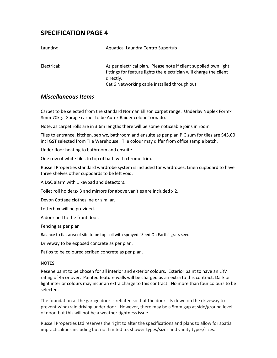| Laundry:    | Aquatica Laundra Centro Supertub                                                                                                                                                                    |
|-------------|-----------------------------------------------------------------------------------------------------------------------------------------------------------------------------------------------------|
| Electrical: | As per electrical plan. Please note if client supplied own light<br>fittings for feature lights the electrician will charge the client<br>directly.<br>Cat 6 Networking cable installed through out |

#### *Miscellaneous Items*

Carpet to be selected from the standard Norman Ellison carpet range. Underlay Nuplex Formx 8mm 70kg. Garage carpet to be Autex Raider colour Tornado.

Note, as carpet rolls are in 3.6m lengths there will be some noticeable joins in room

Tiles to entrance, kitchen, sep wc, bathroom and ensuite as per plan P.C sum for tiles are \$45.00 incl GST selected from Tile Warehouse. Tile colour may differ from office sample batch.

Under floor heating to bathroom and ensuite

One row of white tiles to top of bath with chrome trim.

Russell Properties standard wardrobe system is included for wardrobes. Linen cupboard to have three shelves other cupboards to be left void.

A DSC alarm with 1 keypad and detectors.

Toilet roll holdersx 3 and mirrors for above vanities are included x 2.

Devon Cottage clothesline or similar.

Letterbox will be provided.

A door bell to the front door.

Fencing as per plan

Balance to flat area of site to be top soil with sprayed "Seed On Earth" grass seed

Driveway to be exposed concrete as per plan.

Patios to be coloured scribed concrete as per plan.

#### **NOTES**

Resene paint to be chosen for all interior and exterior colours. Exterior paint to have an LRV rating of 45 or over. Painted feature walls will be charged as an extra to this contract. Dark or light interior colours may incur an extra charge to this contract. No more than four colours to be selected.

The foundation at the garage door is rebated so that the door sits down on the driveway to prevent wind/rain driving under door. However, there may be a 5mm gap at side/ground level of door, but this will not be a weather tightness issue.

Russell Properties Ltd reserves the right to alter the specifications and plans to allow for spatial impracticalities including but not limited to, shower types/sizes and vanity types/sizes.